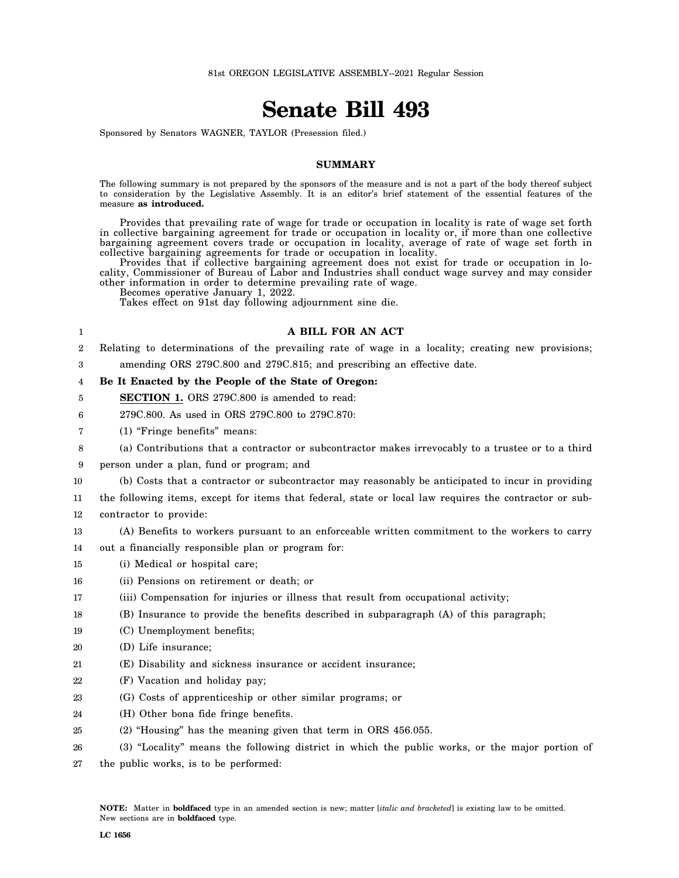## **Senate Bill 493**

Sponsored by Senators WAGNER, TAYLOR (Presession filed.)

## **SUMMARY**

The following summary is not prepared by the sponsors of the measure and is not a part of the body thereof subject to consideration by the Legislative Assembly. It is an editor's brief statement of the essential features of the measure **as introduced.**

Provides that prevailing rate of wage for trade or occupation in locality is rate of wage set forth in collective bargaining agreement for trade or occupation in locality or, if more than one collective bargaining agreement covers trade or occupation in locality, average of rate of wage set forth in collective bargaining agreements for trade or occupation in locality.

Provides that if collective bargaining agreement does not exist for trade or occupation in locality, Commissioner of Bureau of Labor and Industries shall conduct wage survey and may consider other information in order to determine prevailing rate of wage.

**A BILL FOR AN ACT**

Becomes operative January 1, 2022.

1 2

17 18

21

24

Takes effect on 91st day following adjournment sine die.

## 3 4 5 6 7 8 9 10 11 12 13 14 15 16 19 20 22 23 25 26 27 Relating to determinations of the prevailing rate of wage in a locality; creating new provisions; amending ORS 279C.800 and 279C.815; and prescribing an effective date. **Be It Enacted by the People of the State of Oregon: SECTION 1.** ORS 279C.800 is amended to read: 279C.800. As used in ORS 279C.800 to 279C.870: (1) "Fringe benefits" means: (a) Contributions that a contractor or subcontractor makes irrevocably to a trustee or to a third person under a plan, fund or program; and (b) Costs that a contractor or subcontractor may reasonably be anticipated to incur in providing the following items, except for items that federal, state or local law requires the contractor or subcontractor to provide: (A) Benefits to workers pursuant to an enforceable written commitment to the workers to carry out a financially responsible plan or program for: (i) Medical or hospital care; (ii) Pensions on retirement or death; or (iii) Compensation for injuries or illness that result from occupational activity; (B) Insurance to provide the benefits described in subparagraph (A) of this paragraph; (C) Unemployment benefits; (D) Life insurance; (E) Disability and sickness insurance or accident insurance; (F) Vacation and holiday pay; (G) Costs of apprenticeship or other similar programs; or (H) Other bona fide fringe benefits. (2) "Housing" has the meaning given that term in ORS 456.055. (3) "Locality" means the following district in which the public works, or the major portion of the public works, is to be performed: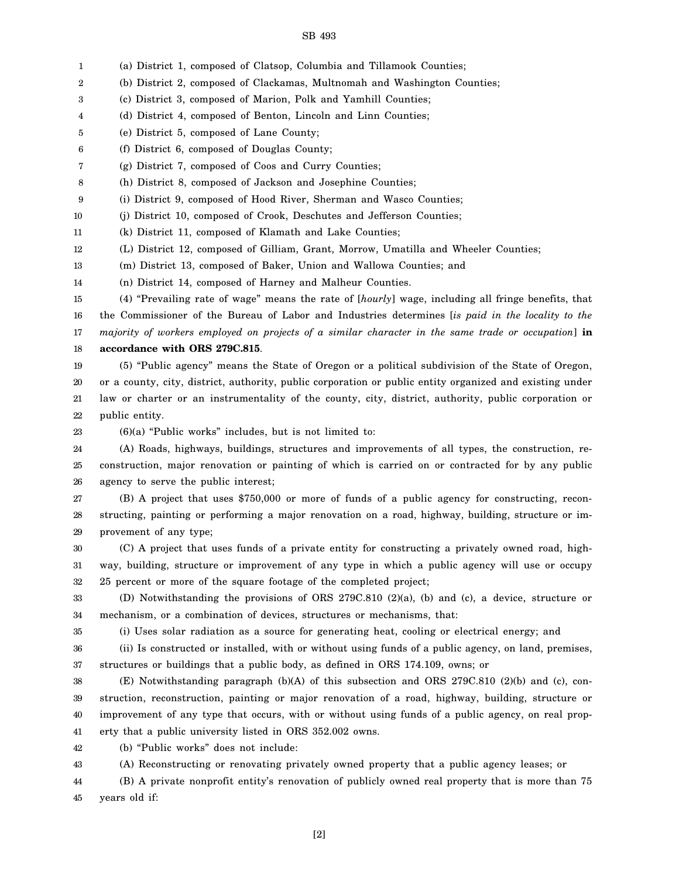## SB 493

1 (a) District 1, composed of Clatsop, Columbia and Tillamook Counties;

2 (b) District 2, composed of Clackamas, Multnomah and Washington Counties;

3 (c) District 3, composed of Marion, Polk and Yamhill Counties;

4 (d) District 4, composed of Benton, Lincoln and Linn Counties;

5 (e) District 5, composed of Lane County;

6 (f) District 6, composed of Douglas County;

7 (g) District 7, composed of Coos and Curry Counties;

8 (h) District 8, composed of Jackson and Josephine Counties;

9 (i) District 9, composed of Hood River, Sherman and Wasco Counties;

10 (j) District 10, composed of Crook, Deschutes and Jefferson Counties;

11 (k) District 11, composed of Klamath and Lake Counties;

12 (L) District 12, composed of Gilliam, Grant, Morrow, Umatilla and Wheeler Counties;

13 (m) District 13, composed of Baker, Union and Wallowa Counties; and

14 (n) District 14, composed of Harney and Malheur Counties.

15 16 17 18 (4) "Prevailing rate of wage" means the rate of [*hourly*] wage, including all fringe benefits, that the Commissioner of the Bureau of Labor and Industries determines [*is paid in the locality to the majority of workers employed on projects of a similar character in the same trade or occupation*] **in accordance with ORS 279C.815**.

19 20 21 22 (5) "Public agency" means the State of Oregon or a political subdivision of the State of Oregon, or a county, city, district, authority, public corporation or public entity organized and existing under law or charter or an instrumentality of the county, city, district, authority, public corporation or public entity.

23

(6)(a) "Public works" includes, but is not limited to:

24 25 26 (A) Roads, highways, buildings, structures and improvements of all types, the construction, reconstruction, major renovation or painting of which is carried on or contracted for by any public agency to serve the public interest;

27 28 29 (B) A project that uses \$750,000 or more of funds of a public agency for constructing, reconstructing, painting or performing a major renovation on a road, highway, building, structure or improvement of any type;

30 31 32 (C) A project that uses funds of a private entity for constructing a privately owned road, highway, building, structure or improvement of any type in which a public agency will use or occupy 25 percent or more of the square footage of the completed project;

33 34 (D) Notwithstanding the provisions of ORS 279C.810 (2)(a), (b) and (c), a device, structure or mechanism, or a combination of devices, structures or mechanisms, that:

35

(i) Uses solar radiation as a source for generating heat, cooling or electrical energy; and

36 37 (ii) Is constructed or installed, with or without using funds of a public agency, on land, premises, structures or buildings that a public body, as defined in ORS 174.109, owns; or

38 39 40 41 (E) Notwithstanding paragraph (b)(A) of this subsection and ORS 279C.810 (2)(b) and (c), construction, reconstruction, painting or major renovation of a road, highway, building, structure or improvement of any type that occurs, with or without using funds of a public agency, on real property that a public university listed in ORS 352.002 owns.

42 (b) "Public works" does not include:

43 (A) Reconstructing or renovating privately owned property that a public agency leases; or

44 45 (B) A private nonprofit entity's renovation of publicly owned real property that is more than 75 years old if: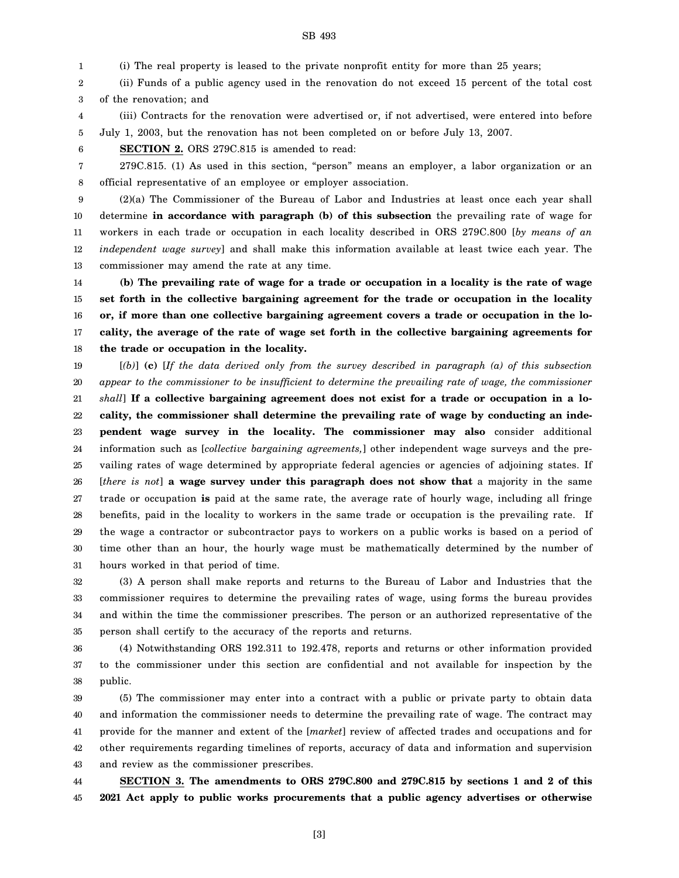1 (i) The real property is leased to the private nonprofit entity for more than 25 years;

SB 493

2 3 (ii) Funds of a public agency used in the renovation do not exceed 15 percent of the total cost of the renovation; and

4 5 (iii) Contracts for the renovation were advertised or, if not advertised, were entered into before July 1, 2003, but the renovation has not been completed on or before July 13, 2007.

6

7 8 279C.815. (1) As used in this section, "person" means an employer, a labor organization or an official representative of an employee or employer association.

**SECTION 2.** ORS 279C.815 is amended to read:

9 10 11 12 13 (2)(a) The Commissioner of the Bureau of Labor and Industries at least once each year shall determine **in accordance with paragraph (b) of this subsection** the prevailing rate of wage for workers in each trade or occupation in each locality described in ORS 279C.800 [*by means of an independent wage survey*] and shall make this information available at least twice each year. The commissioner may amend the rate at any time.

14 15 16 17 18 **(b) The prevailing rate of wage for a trade or occupation in a locality is the rate of wage set forth in the collective bargaining agreement for the trade or occupation in the locality or, if more than one collective bargaining agreement covers a trade or occupation in the locality, the average of the rate of wage set forth in the collective bargaining agreements for the trade or occupation in the locality.**

19 20 21 22 23 24 25 26 27 28 29 30 31 [*(b)*] **(c)** [*If the data derived only from the survey described in paragraph (a) of this subsection appear to the commissioner to be insufficient to determine the prevailing rate of wage, the commissioner shall*] **If a collective bargaining agreement does not exist for a trade or occupation in a locality, the commissioner shall determine the prevailing rate of wage by conducting an independent wage survey in the locality. The commissioner may also** consider additional information such as [*collective bargaining agreements,*] other independent wage surveys and the prevailing rates of wage determined by appropriate federal agencies or agencies of adjoining states. If [*there is not*] **a wage survey under this paragraph does not show that** a majority in the same trade or occupation **is** paid at the same rate, the average rate of hourly wage, including all fringe benefits, paid in the locality to workers in the same trade or occupation is the prevailing rate. If the wage a contractor or subcontractor pays to workers on a public works is based on a period of time other than an hour, the hourly wage must be mathematically determined by the number of hours worked in that period of time.

32 33 34 35 (3) A person shall make reports and returns to the Bureau of Labor and Industries that the commissioner requires to determine the prevailing rates of wage, using forms the bureau provides and within the time the commissioner prescribes. The person or an authorized representative of the person shall certify to the accuracy of the reports and returns.

36 37 38 (4) Notwithstanding ORS 192.311 to 192.478, reports and returns or other information provided to the commissioner under this section are confidential and not available for inspection by the public.

39 40 41 42 43 (5) The commissioner may enter into a contract with a public or private party to obtain data and information the commissioner needs to determine the prevailing rate of wage. The contract may provide for the manner and extent of the [*market*] review of affected trades and occupations and for other requirements regarding timelines of reports, accuracy of data and information and supervision and review as the commissioner prescribes.

44 45 **SECTION 3. The amendments to ORS 279C.800 and 279C.815 by sections 1 and 2 of this 2021 Act apply to public works procurements that a public agency advertises or otherwise**